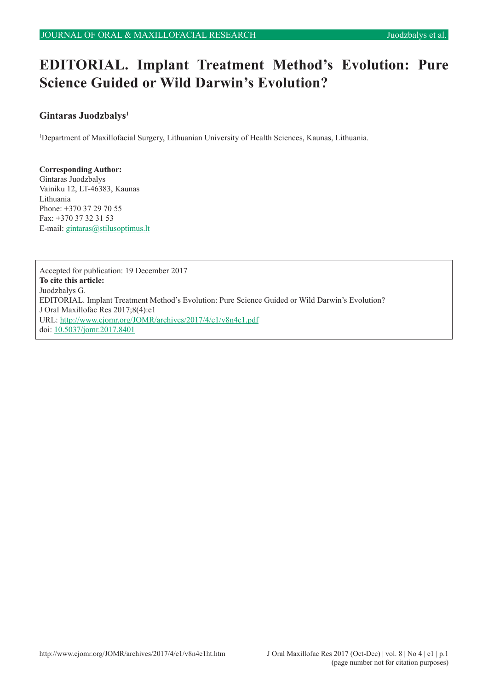# **EDITORIAL. Implant Treatment Method's Evolution: Pure Science Guided or Wild Darwin's Evolution?**

# **Gintaras Juodzbalys1**

1 Department of Maxillofacial Surgery, Lithuanian University of Health Sciences, Kaunas, Lithuania.

#### **Corresponding Author:** Gintaras Juodzbalys

Vainiku 12, LT-46383, Kaunas Lithuania Phone: +370 37 29 70 55 Fax: +370 37 32 31 53 E-mail: [gintaras@stilusoptimus.lt](mailto:gintaras%40stilusoptimus.lt?subject=)

Accepted for publication: 19 December 2017 **To cite this article:** Juodzbalys G. EDITORIAL. Implant Treatment Method's Evolution: Pure Science Guided or Wild Darwin's Evolution? J Oral Maxillofac Res 2017;8(4):e1 URL:<http://www.ejomr.org/JOMR/archives/2017/4/e1/v8n4e1.pdf> doi: [10.5037/jomr.2017.8401](http://dx.doi.org/10.5037/jomr.2017.8401)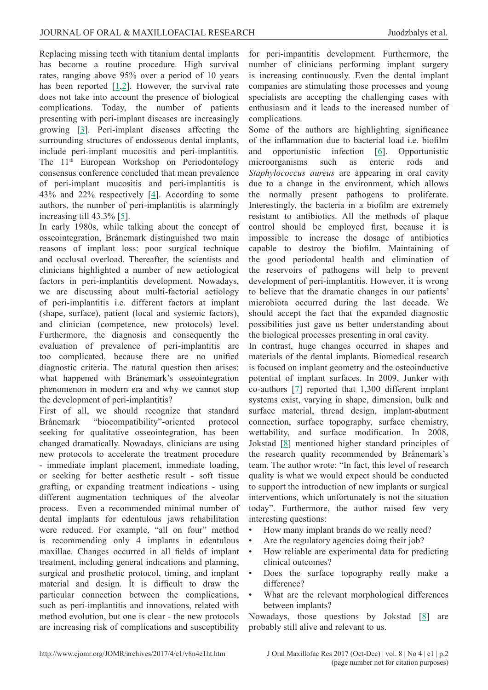Replacing missing teeth with titanium dental implants has become a routine procedure. High survival rates, ranging above 95% over a period of 10 years has been reported [[1](#page-2-0),[2\]](#page-2-0). However, the survival rate does not take into account the presence of biological complications. Today, the number of patients presenting with peri-implant diseases are increasingly growing [[3](#page-2-0)]. Peri-implant diseases affecting the surrounding structures of endosseous dental implants, include peri-implant mucositis and peri-implantitis. The 11<sup>th</sup> European Workshop on Periodontology consensus conference concluded that mean prevalence of peri-implant mucositis and peri-implantitis is 43% and 22% respectively [\[4](#page-2-0)]. According to some authors, the number of peri-implantitis is alarmingly increasing till 43.3% [[5\]](#page-2-0).

In early 1980s, while talking about the concept of osseointegration, Brånemark distinguished two main reasons of implant loss: poor surgical technique and occlusal overload. Thereafter, the scientists and clinicians highlighted a number of new aetiological factors in peri-implantitis development. Nowadays, we are discussing about multi-factorial aetiology of peri-implantitis i.e. different factors at implant (shape, surface), patient (local and systemic factors), and clinician (competence, new protocols) level. Furthermore, the diagnosis and consequently the evaluation of prevalence of peri-implantitis are too complicated, because there are no unified diagnostic criteria. The natural question then arises: what happened with Brånemark's osseointegration phenomenon in modern era and why we cannot stop the development of peri-implantitis?

First of all, we should recognize that standard Brånemark "biocompatibility"-oriented protocol seeking for qualitative osseointegration, has been changed dramatically. Nowadays, clinicians are using new protocols to accelerate the treatment procedure - immediate implant placement, immediate loading, or seeking for better aesthetic result - soft tissue grafting, or expanding treatment indications - using different augmentation techniques of the alveolar process. Even a recommended minimal number of dental implants for edentulous jaws rehabilitation were reduced. For example, "all on four" method is recommending only 4 implants in edentulous maxillae. Changes occurred in all fields of implant treatment, including general indications and planning, surgical and prosthetic protocol, timing, and implant material and design. İt is difficult to draw the particular connection between the complications, such as peri-implantitis and innovations, related with method evolution, but one is clear - the new protocols are increasing risk of complications and susceptibility

for peri-impantitis development. Furthermore, the number of clinicians performing implant surgery is increasing continuously. Even the dental implant companies are stimulating those processes and young specialists are accepting the challenging cases with enthusiasm and it leads to the increased number of complications.

Some of the authors are highlighting significance of the inflammation due to bacterial load i.e. biofilm and opportunistic infection [[6\]](#page-2-0). Opportunistic microorganisms such as enteric rods and *Staphylococcus aureus* are appearing in oral cavity due to a change in the environment, which allows the normally present pathogens to proliferate. Interestingly, the bacteria in a biofilm are extremely resistant to antibiotics. All the methods of plaque control should be employed first, because it is impossible to increase the dosage of antibiotics capable to destroy the biofilm. Maintaining of the good periodontal health and elimination of the reservoirs of pathogens will help to prevent development of peri-implantitis. However, it is wrong to believe that the dramatic changes in our patients' microbiota occurred during the last decade. We should accept the fact that the expanded diagnostic possibilities just gave us better understanding about the biological processes presenting in oral cavity.

In contrast, huge changes occurred in shapes and materials of the dental implants. Biomedical research is focused on implant geometry and the osteoinductive potential of implant surfaces. In 2009, Junker with co-authors [[7](#page-2-0)] reported that 1,300 different implant systems exist, varying in shape, dimension, bulk and surface material, thread design, implant-abutment connection, surface topography, surface chemistry, wettability, and surface modification. In 2008, Jokstad [[8](#page-2-0)] mentioned higher standard principles of the research quality recommended by Brånemark's team. The author wrote: "In fact, this level of research quality is what we would expect should be conducted to support the introduction of new implants or surgical interventions, which unfortunately is not the situation today". Furthermore, the author raised few very interesting questions:

- How many implant brands do we really need?
- Are the regulatory agencies doing their job?
- How reliable are experimental data for predicting clinical outcomes?
- Does the surface topography really make a difference?
- What are the relevant morphological differences between implants?

Nowadays, those questions by Jokstad  $[8]$  $[8]$  $[8]$  are probably still alive and relevant to us.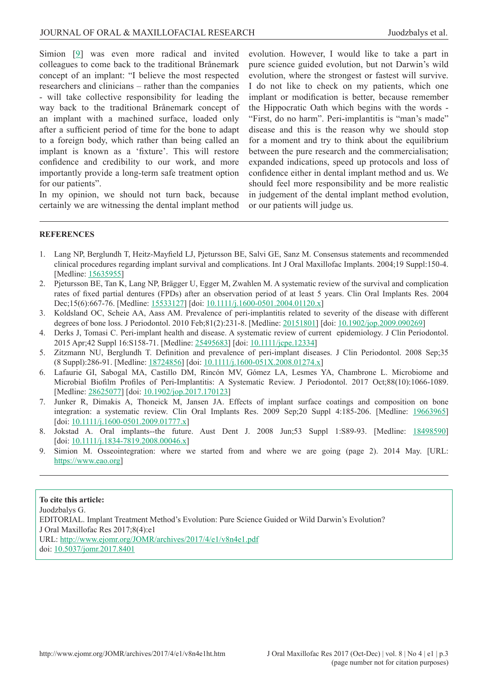<span id="page-2-0"></span>Simion [9] was even more radical and invited colleagues to come back to the traditional Brånemark concept of an implant: "I believe the most respected researchers and clinicians – rather than the companies - will take collective responsibility for leading the way back to the traditional Brånemark concept of an implant with a machined surface, loaded only after a sufficient period of time for the bone to adapt to a foreign body, which rather than being called an implant is known as a 'fixture'. This will restore confidence and credibility to our work, and more importantly provide a long-term safe treatment option for our patients".

In my opinion, we should not turn back, because certainly we are witnessing the dental implant method evolution. However, I would like to take a part in pure science guided evolution, but not Darwin's wild evolution, where the strongest or fastest will survive. I do not like to check on my patients, which one implant or modification is better, because remember the Hippocratic Oath which begins with the words - "First, do no harm". Peri-implantitis is "man's made" disease and this is the reason why we should stop for a moment and try to think about the equilibrium between the pure research and the commercialisation; expanded indications, speed up protocols and loss of confidence either in dental implant method and us. We should feel more responsibility and be more realistic in judgement of the dental implant method evolution, or our patients will judge us.

### **REFERENCES**

- 1. Lang NP, Berglundh T, Heitz-Mayfield LJ, Pjetursson BE, Salvi GE, Sanz M. Consensus statements and recommended clinical procedures regarding implant survival and complications. Int J Oral Maxillofac Implants. 2004;19 Suppl:150-4. [Medline: [15635955\]](http://www.ncbi.nlm.nih.gov/pubmed/15635955)
- 2. Pjetursson BE, Tan K, Lang NP, Brägger U, Egger M, Zwahlen M. A systematic review of the survival and complication rates of fixed partial dentures (FPDs) after an observation period of at least 5 years. Clin Oral Implants Res. 2004 Dec;15(6):667-76. [Medline: [15533127\]](http://www.ncbi.nlm.nih.gov/pubmed/15533127) [doi: [10.1111/j.1600-0501.2004.01120.x\]](https://doi.org/10.1111/j.1600-0501.2004.01120.x)
- 3. Koldsland OC, Scheie AA, Aass AM. Prevalence of peri-implantitis related to severity of the disease with different degrees of bone loss. J Periodontol. 2010 Feb;81(2):231-8. [Medline: [20151801](http://www.ncbi.nlm.nih.gov/pubmed/20151801)] [doi: [10.1902/jop.2009.090269\]](https://doi.org/10.1902/jop.2009.090269)
- 4. Derks J, Tomasi C. Peri-implant health and disease. A systematic review of current epidemiology. J Clin Periodontol. 2015 Apr;42 Suppl 16:S158-71. [Medline: [25495683](http://www.ncbi.nlm.nih.gov/pubmed/25495683)] [doi: [10.1111/jcpe.12334\]](https://doi.org/10.1111/jcpe.12334)
- 5. Zitzmann NU, Berglundh T. Definition and prevalence of peri-implant diseases. J Clin Periodontol. 2008 Sep;35 (8 Suppl):286-91. [Medline: [18724856\]](http://www.ncbi.nlm.nih.gov/pubmed/18724856) [doi: [10.1111/j.1600-051X.2008.01274.x](https://doi.org/10.1111/j.1600-051X.2008.01274.x)]
- 6. Lafaurie GI, Sabogal MA, Castillo DM, Rincón MV, Gómez LA, Lesmes YA, Chambrone L. Microbiome and Microbial Biofilm Profiles of Peri-Implantitis: A Systematic Review. J Periodontol. 2017 Oct;88(10):1066-1089. [Medline: [28625077\]](http://www.ncbi.nlm.nih.gov/pubmed/28625077) [doi: [10.1902/jop.2017.170123](https://doi.org/10.1902/jop.2017.170123)]
- 7. Junker R, Dimakis A, Thoneick M, Jansen JA. Effects of implant surface coatings and composition on bone integration: a systematic review. Clin Oral Implants Res. 2009 Sep;20 Suppl 4:185-206. [Medline: [19663965\]](http://www.ncbi.nlm.nih.gov/pubmed/19663965) [doi: [10.1111/j.1600-0501.2009.01777.x\]](https://doi.org/10.1111/j.1600-0501.2009.01777.x)
- 8. Jokstad A. Oral implants--the future. Aust Dent J. 2008 Jun;53 Suppl 1:S89-93. [Medline: [18498590\]](http://www.ncbi.nlm.nih.gov/pubmed/18498590) [doi: [10.1111/j.1834-7819.2008.00046.x\]](https://doi.org/10.1111/j.1834-7819.2008.00046.x)
- 9. Simion M. Osseointegration: where we started from and where we are going (page 2). 2014 May. [URL: [https://www.eao.org\]](https://www.eao.org)

## **To cite this article:**

Juodzbalys G. EDITORIAL. Implant Treatment Method's Evolution: Pure Science Guided or Wild Darwin's Evolution? J Oral Maxillofac Res 2017;8(4):e1 URL:<http://www.ejomr.org/JOMR/archives/2017/4/e1/v8n4e1.pdf> doi: [10.5037/jomr.2017.8401](http://dx.doi.org/10.5037/jomr.2017.8401)